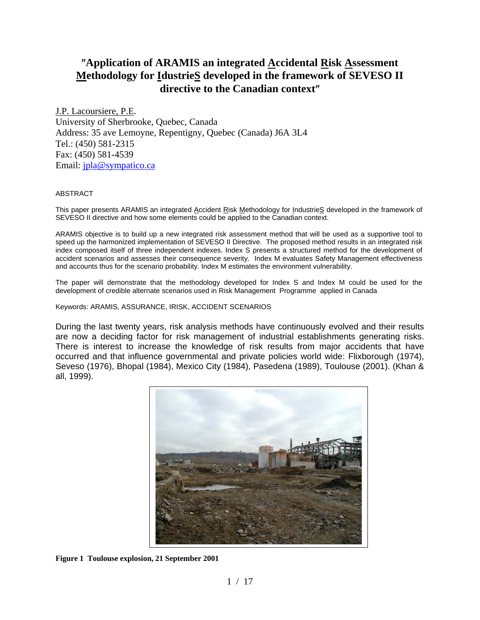# ″**Application of ARAMIS an integrated Accidental Risk Assessment Methodology for IdustrieS developed in the framework of SEVESO II directive to the Canadian context**″

J.P. Lacoursiere, P.E. University of Sherbrooke, Quebec, Canada Address: 35 ave Lemoyne, Repentigny, Quebec (Canada) J6A 3L4 Tel.: (450) 581-2315 Fax: (450) 581-4539 Email: jpla@sympatico.ca

#### ABSTRACT

This paper presents ARAMIS an integrated Accident Risk Methodology for IndustrieS developed in the framework of SEVESO II directive and how some elements could be applied to the Canadian context.

ARAMIS objective is to build up a new integrated risk assessment method that will be used as a supportive tool to speed up the harmonized implementation of SEVESO II Directive. The proposed method results in an integrated risk index composed itself of three independent indexes. Index S presents a structured method for the development of accident scenarios and assesses their consequence severity. Index M evaluates Safety Management effectiveness and accounts thus for the scenario probability. Index M estimates the environment vulnerability.

The paper will demonstrate that the methodology developed for Index S and Index M could be used for the development of credible alternate scenarios used in Risk Management Programme applied in Canada

Keywords: ARAMIS, ASSURANCE, IRISK, ACCIDENT SCENARIOS

During the last twenty years, risk analysis methods have continuously evolved and their results are now a deciding factor for risk management of industrial establishments generating risks. There is interest to increase the knowledge of risk results from major accidents that have occurred and that influence governmental and private policies world wide: Flixborough (1974), Seveso (1976), Bhopal (1984), Mexico City (1984), Pasedena (1989), Toulouse (2001). (Khan & all, 1999).



**Figure 1 Toulouse explosion, 21 September 2001**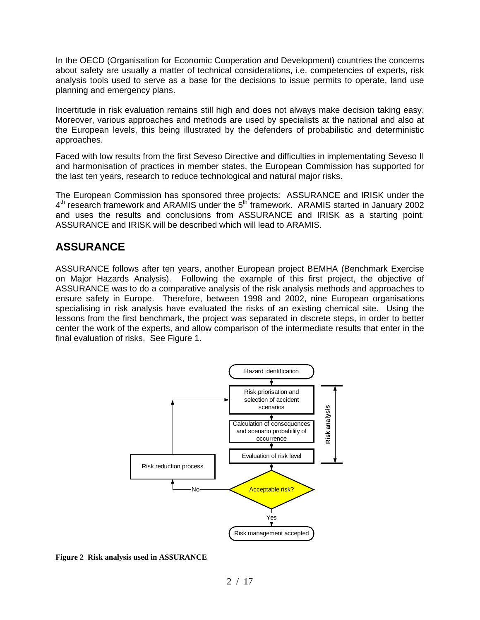In the OECD (Organisation for Economic Cooperation and Development) countries the concerns about safety are usually a matter of technical considerations, i.e. competencies of experts, risk analysis tools used to serve as a base for the decisions to issue permits to operate, land use planning and emergency plans.

Incertitude in risk evaluation remains still high and does not always make decision taking easy. Moreover, various approaches and methods are used by specialists at the national and also at the European levels, this being illustrated by the defenders of probabilistic and deterministic approaches.

Faced with low results from the first Seveso Directive and difficulties in implementating Seveso II and harmonisation of practices in member states, the European Commission has supported for the last ten years, research to reduce technological and natural major risks.

The European Commission has sponsored three projects: ASSURANCE and IRISK under the  $4<sup>th</sup>$  research framework and ARAMIS under the  $5<sup>th</sup>$  framework. ARAMIS started in January 2002 and uses the results and conclusions from ASSURANCE and IRISK as a starting point. ASSURANCE and IRISK will be described which will lead to ARAMIS.

## **ASSURANCE**

ASSURANCE follows after ten years, another European project BEMHA (Benchmark Exercise on Major Hazards Analysis). Following the example of this first project, the objective of ASSURANCE was to do a comparative analysis of the risk analysis methods and approaches to ensure safety in Europe. Therefore, between 1998 and 2002, nine European organisations specialising in risk analysis have evaluated the risks of an existing chemical site. Using the lessons from the first benchmark, the project was separated in discrete steps, in order to better center the work of the experts, and allow comparison of the intermediate results that enter in the final evaluation of risks. See Figure 1.



**Figure 2 Risk analysis used in ASSURANCE**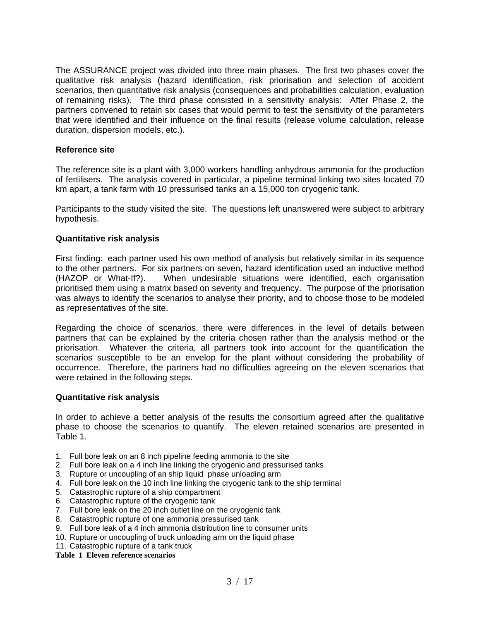The ASSURANCE project was divided into three main phases. The first two phases cover the qualitative risk analysis (hazard identification, risk priorisation and selection of accident scenarios, then quantitative risk analysis (consequences and probabilities calculation, evaluation of remaining risks). The third phase consisted in a sensitivity analysis: After Phase 2, the partners convened to retain six cases that would permit to test the sensitivity of the parameters that were identified and their influence on the final results (release volume calculation, release duration, dispersion models, etc.).

#### **Reference site**

The reference site is a plant with 3,000 workers handling anhydrous ammonia for the production of fertilisers. The analysis covered in particular, a pipeline terminal linking two sites located 70 km apart, a tank farm with 10 pressurised tanks an a 15,000 ton cryogenic tank.

Participants to the study visited the site. The questions left unanswered were subject to arbitrary hypothesis.

#### **Quantitative risk analysis**

First finding: each partner used his own method of analysis but relatively similar in its sequence to the other partners. For six partners on seven, hazard identification used an inductive method<br>(HAZOP or What-If?). When undesirable situations were identified, each organisation When undesirable situations were identified, each organisation prioritised them using a matrix based on severity and frequency. The purpose of the priorisation was always to identify the scenarios to analyse their priority, and to choose those to be modeled as representatives of the site.

Regarding the choice of scenarios, there were differences in the level of details between partners that can be explained by the criteria chosen rather than the analysis method or the priorisation. Whatever the criteria, all partners took into account for the quantification the scenarios susceptible to be an envelop for the plant without considering the probability of occurrence. Therefore, the partners had no difficulties agreeing on the eleven scenarios that were retained in the following steps.

#### **Quantitative risk analysis**

In order to achieve a better analysis of the results the consortium agreed after the qualitative phase to choose the scenarios to quantify. The eleven retained scenarios are presented in Table 1.

- 1. Full bore leak on an 8 inch pipeline feeding ammonia to the site
- 2. Full bore leak on a 4 inch line linking the cryogenic and pressurised tanks
- 3. Rupture or uncoupling of an ship liquid phase unloading arm
- 4. Full bore leak on the 10 inch line linking the cryogenic tank to the ship terminal
- 5. Catastrophic rupture of a ship compartment
- 6. Catastrophic rupture of the cryogenic tank
- 7. Full bore leak on the 20 inch outlet line on the cryogenic tank
- 8. Catastrophic rupture of one ammonia pressurised tank
- 9. Full bore leak of a 4 inch ammonia distribution line to consumer units
- 10. Rupture or uncoupling of truck unloading arm on the liquid phase
- 11. Catastrophic rupture of a tank truck

**Table 1 Eleven reference scenarios**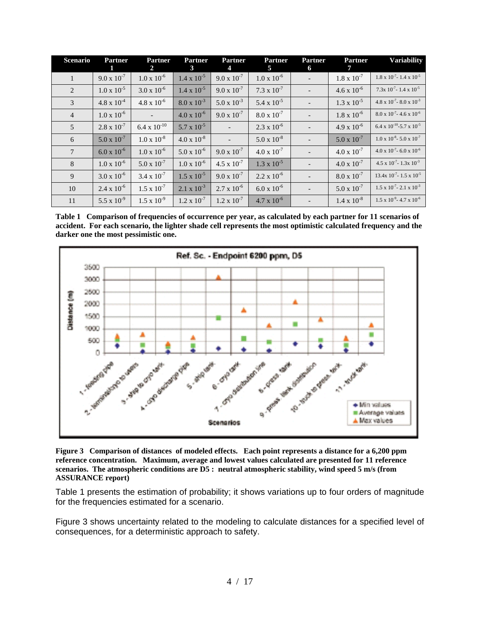| <b>Scenario</b> | <b>Partner</b>       | <b>Partner</b><br>2   | <b>Partner</b><br>3  | <b>Partner</b><br>4  | <b>Partner</b><br>5  | <b>Partner</b><br>6 | <b>Partner</b>       | <b>Variability</b>                            |
|-----------------|----------------------|-----------------------|----------------------|----------------------|----------------------|---------------------|----------------------|-----------------------------------------------|
| $\mathbf{1}$    | $9.0 \times 10^{-7}$ | $1.0 \times 10^{-6}$  | $1.4 \times 10^{-5}$ | $9.0 \times 10^{-7}$ | $1.0 \times 10^{-6}$ |                     | $1.8 \times 10^{-7}$ | $1.8 \times 10^{-7}$ - 1.4 x $10^{-5}$        |
| 2               | $1.0 \times 10^{-5}$ | $3.0 \times 10^{-6}$  | $1.4 \times 10^{-5}$ | $9.0 \times 10^{-7}$ | $7.3 \times 10^{-7}$ |                     | $4.6 \times 10^{-6}$ | $7.3x\ 10^{-7} - 1.4x\ 10^{-5}$               |
| 3               | $4.8 \times 10^{-4}$ | $4.8 \times 10^{-6}$  | $8.0 \times 10^{-3}$ | $5.0 \times 10^{-3}$ | 5.4 x $10^{-5}$      |                     | $1.3 \times 10^{-5}$ | $4.8 \times 10^{-7}$ - 8.0 x $10^{-3}$        |
| $\overline{4}$  | $1.0 \times 10^{-6}$ |                       | $4.0 \times 10^{-6}$ | $9.0 \times 10^{-7}$ | $8.0 \times 10^{-7}$ |                     | $1.8 \times 10^{-6}$ | $8.0 \times 10^{-7}$ – 4.6 x 10 <sup>-6</sup> |
| 5               | $2.8 \times 10^{-7}$ | $6.4 \times 10^{-10}$ | $5.7 \times 10^{-5}$ |                      | $2.3 \times 10^{-6}$ |                     | $4.9 \times 10^{-6}$ | $6.4 \times 10^{-10} - 5.7 \times 10^{-5}$    |
| 6               | $5.0 \times 10^{-7}$ | $1.0 \times 10^{-8}$  | $4.0 \times 10^{-8}$ |                      | $5.0 \times 10^{-8}$ |                     | $5.0 \times 10^{-7}$ | $1.0 \times 10^{-8}$ = 5.0 x $10^{-7}$        |
| $\overline{7}$  | $6.0 \times 10^{-6}$ | $1.0 \times 10^{-6}$  | $5.0 \times 10^{-6}$ | $9.0 \times 10^{-7}$ | $4.0 \times 10^{-7}$ |                     | $4.0 \times 10^{-7}$ | $4.0 \times 10^{-7}$ – 6.0 x 10 <sup>-6</sup> |
| 8               | $1.0 \times 10^{-6}$ | $5.0 \times 10^{-7}$  | $1.0 \times 10^{-6}$ | $4.5 \times 10^{-7}$ | $1.3 \times 10^{-5}$ |                     | $4.0 \times 10^{-7}$ | $4.5 \times 10^{-7}$ – 1.3x $10^{-3}$         |
| 9               | $3.0 \times 10^{-6}$ | $3.4 \times 10^{-7}$  | $1.5 \times 10^{-5}$ | $9.0 \times 10^{-7}$ | $2.2 \times 10^{-6}$ |                     | $8.0 \times 10^{-7}$ | 13.4x $10^{-7}$ - 1.5 x $10^{-5}$             |
| 10              | $2.4 \times 10^{-6}$ | $1.5 \times 10^{-7}$  | $2.1 \times 10^{-3}$ | $2.7 \times 10^{-6}$ | $6.0 \times 10^{-6}$ |                     | $5.0 \times 10^{-7}$ | $1.5 \times 10^{-7}$ - 2.1 $\times 10^{-3}$   |
| 11              | 5.5 x $10^{-9}$      | $1.5 \times 10^{-9}$  | $1.2 \times 10^{-7}$ | $1.2 \times 10^{-7}$ | $4.7 \times 10^{-6}$ |                     | $1.4 \times 10^{-8}$ | $1.5 \times 10^{-9}$ - 4.7 x 10 <sup>-6</sup> |

**Table 1 Comparison of frequencies of occurrence per year, as calculated by each partner for 11 scenarios of accident. For each scenario, the lighter shade cell represents the most optimistic calculated frequency and the darker one the most pessimistic one.**



**Figure 3 Comparison of distances of modeled effects. Each point represents a distance for a 6,200 ppm reference concentration. Maximum, average and lowest values calculated are presented for 11 reference scenarios. The atmospheric conditions are D5 : neutral atmospheric stability, wind speed 5 m/s (from ASSURANCE report)**

Table 1 presents the estimation of probability; it shows variations up to four orders of magnitude for the frequencies estimated for a scenario.

Figure 3 shows uncertainty related to the modeling to calculate distances for a specified level of consequences, for a deterministic approach to safety.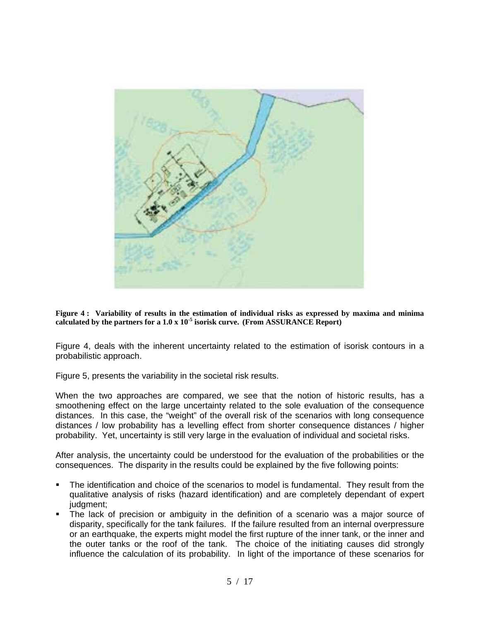

**Figure 4 : Variability of results in the estimation of individual risks as expressed by maxima and minima calculated by the partners for a 1.0 x 10-5 isorisk curve. (From ASSURANCE Report)**

Figure 4, deals with the inherent uncertainty related to the estimation of isorisk contours in a probabilistic approach.

Figure 5, presents the variability in the societal risk results.

When the two approaches are compared, we see that the notion of historic results, has a smoothening effect on the large uncertainty related to the sole evaluation of the consequence distances. In this case, the "weight" of the overall risk of the scenarios with long consequence distances / low probability has a levelling effect from shorter consequence distances / higher probability. Yet, uncertainty is still very large in the evaluation of individual and societal risks.

After analysis, the uncertainty could be understood for the evaluation of the probabilities or the consequences. The disparity in the results could be explained by the five following points:

- The identification and choice of the scenarios to model is fundamental. They result from the qualitative analysis of risks (hazard identification) and are completely dependant of expert judgment:
- The lack of precision or ambiguity in the definition of a scenario was a major source of disparity, specifically for the tank failures. If the failure resulted from an internal overpressure or an earthquake, the experts might model the first rupture of the inner tank, or the inner and the outer tanks or the roof of the tank. The choice of the initiating causes did strongly influence the calculation of its probability. In light of the importance of these scenarios for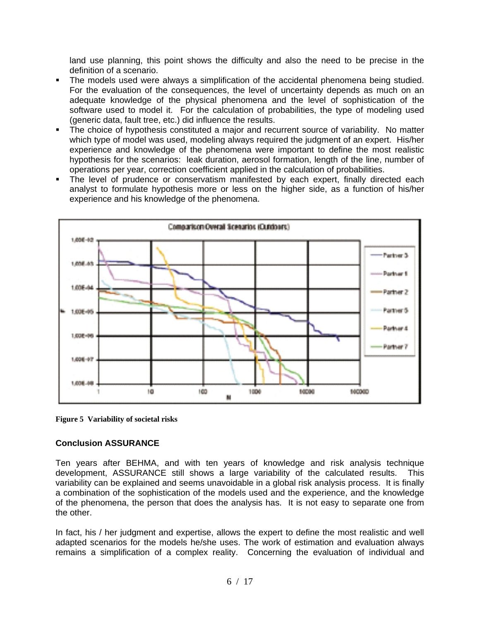land use planning, this point shows the difficulty and also the need to be precise in the definition of a scenario.

- The models used were always a simplification of the accidental phenomena being studied. For the evaluation of the consequences, the level of uncertainty depends as much on an adequate knowledge of the physical phenomena and the level of sophistication of the software used to model it. For the calculation of probabilities, the type of modeling used (generic data, fault tree, etc.) did influence the results.
- The choice of hypothesis constituted a major and recurrent source of variability. No matter which type of model was used, modeling always required the judgment of an expert. His/her experience and knowledge of the phenomena were important to define the most realistic hypothesis for the scenarios: leak duration, aerosol formation, length of the line, number of operations per year, correction coefficient applied in the calculation of probabilities.
- The level of prudence or conservatism manifested by each expert, finally directed each analyst to formulate hypothesis more or less on the higher side, as a function of his/her experience and his knowledge of the phenomena.



**Figure 5 Variability of societal risks**

### **Conclusion ASSURANCE**

Ten years after BEHMA, and with ten years of knowledge and risk analysis technique development, ASSURANCE still shows a large variability of the calculated results. This variability can be explained and seems unavoidable in a global risk analysis process. It is finally a combination of the sophistication of the models used and the experience, and the knowledge of the phenomena, the person that does the analysis has. It is not easy to separate one from the other.

In fact, his / her judgment and expertise, allows the expert to define the most realistic and well adapted scenarios for the models he/she uses. The work of estimation and evaluation always remains a simplification of a complex reality. Concerning the evaluation of individual and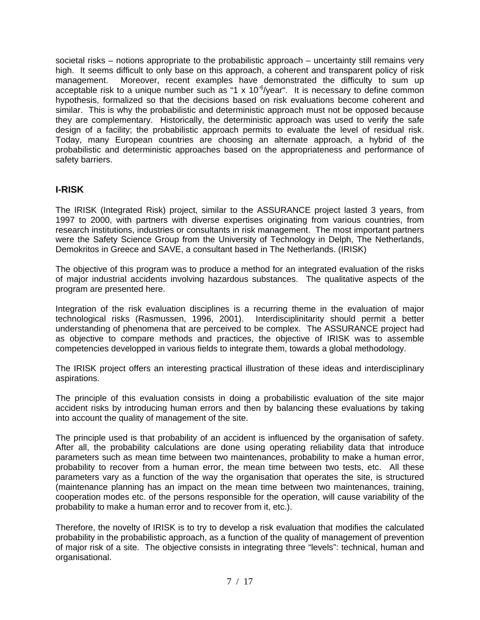societal risks – notions appropriate to the probabilistic approach – uncertainty still remains very high. It seems difficult to only base on this approach, a coherent and transparent policy of risk management. Moreover, recent examples have demonstrated the difficulty to sum up acceptable risk to a unique number such as "1 x  $10^{-6}/year$ ". It is necessary to define common hypothesis, formalized so that the decisions based on risk evaluations become coherent and similar. This is why the probabilistic and deterministic approach must not be opposed because they are complementary. Historically, the deterministic approach was used to verify the safe design of a facility; the probabilistic approach permits to evaluate the level of residual risk. Today, many European countries are choosing an alternate approach, a hybrid of the probabilistic and deterministic approaches based on the appropriateness and performance of safety barriers.

### **I-RISK**

The IRISK (Integrated Risk) project, similar to the ASSURANCE project lasted 3 years, from 1997 to 2000, with partners with diverse expertises originating from various countries, from research institutions, industries or consultants in risk management. The most important partners were the Safety Science Group from the University of Technology in Delph, The Netherlands, Demokritos in Greece and SAVE, a consultant based in The Netherlands. (IRISK)

The objective of this program was to produce a method for an integrated evaluation of the risks of major industrial accidents involving hazardous substances. The qualitative aspects of the program are presented here.

Integration of the risk evaluation disciplines is a recurring theme in the evaluation of major technological risks (Rasmussen, 1996, 2001). Interdisciplinitarity should permit a better understanding of phenomena that are perceived to be complex. The ASSURANCE project had as objective to compare methods and practices, the objective of IRISK was to assemble competencies developped in various fields to integrate them, towards a global methodology.

The IRISK project offers an interesting practical illustration of these ideas and interdisciplinary aspirations.

The principle of this evaluation consists in doing a probabilistic evaluation of the site major accident risks by introducing human errors and then by balancing these evaluations by taking into account the quality of management of the site.

The principle used is that probability of an accident is influenced by the organisation of safety. After all, the probability calculations are done using operating reliability data that introduce parameters such as mean time between two maintenances, probability to make a human error, probability to recover from a human error, the mean time between two tests, etc. All these parameters vary as a function of the way the organisation that operates the site, is structured (maintenance planning has an impact on the mean time between two maintenances, training, cooperation modes etc. of the persons responsible for the operation, will cause variability of the probability to make a human error and to recover from it, etc.).

Therefore, the novelty of IRISK is to try to develop a risk evaluation that modifies the calculated probability in the probabilistic approach, as a function of the quality of management of prevention of major risk of a site. The objective consists in integrating three "levels": technical, human and organisational.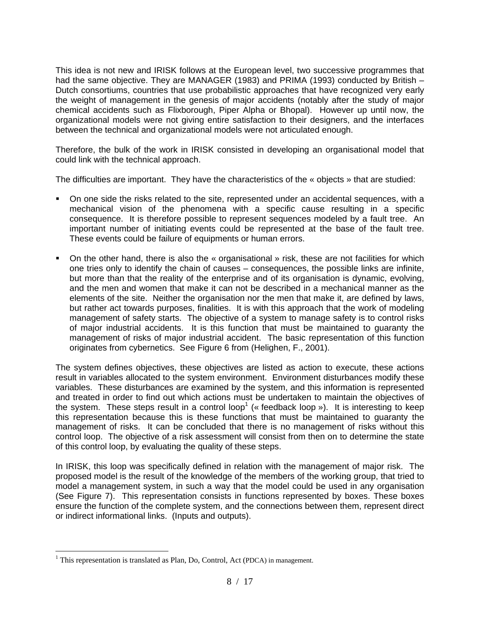This idea is not new and IRISK follows at the European level, two successive programmes that had the same objective. They are MANAGER (1983) and PRIMA (1993) conducted by British – Dutch consortiums, countries that use probabilistic approaches that have recognized very early the weight of management in the genesis of major accidents (notably after the study of major chemical accidents such as Flixborough, Piper Alpha or Bhopal). However up until now, the organizational models were not giving entire satisfaction to their designers, and the interfaces between the technical and organizational models were not articulated enough.

Therefore, the bulk of the work in IRISK consisted in developing an organisational model that could link with the technical approach.

The difficulties are important. They have the characteristics of the « objects » that are studied:

- On one side the risks related to the site, represented under an accidental sequences, with a mechanical vision of the phenomena with a specific cause resulting in a specific consequence. It is therefore possible to represent sequences modeled by a fault tree. An important number of initiating events could be represented at the base of the fault tree. These events could be failure of equipments or human errors.
- On the other hand, there is also the « organisational » risk, these are not facilities for which one tries only to identify the chain of causes – consequences, the possible links are infinite, but more than that the reality of the enterprise and of its organisation is dynamic, evolving, and the men and women that make it can not be described in a mechanical manner as the elements of the site. Neither the organisation nor the men that make it, are defined by laws, but rather act towards purposes, finalities. It is with this approach that the work of modeling management of safety starts. The objective of a system to manage safety is to control risks of major industrial accidents. It is this function that must be maintained to guaranty the management of risks of major industrial accident. The basic representation of this function originates from cybernetics. See Figure 6 from (Helighen, F., 2001).

The system defines objectives, these objectives are listed as action to execute, these actions result in variables allocated to the system environment. Environment disturbances modify these variables. These disturbances are examined by the system, and this information is represented and treated in order to find out which actions must be undertaken to maintain the objectives of the system. These steps result in a control loop<sup>1</sup> (« feedback loop »). It is interesting to keep this representation because this is these functions that must be maintained to guaranty the management of risks. It can be concluded that there is no management of risks without this control loop. The objective of a risk assessment will consist from then on to determine the state of this control loop, by evaluating the quality of these steps.

In IRISK, this loop was specifically defined in relation with the management of major risk. The proposed model is the result of the knowledge of the members of the working group, that tried to model a management system, in such a way that the model could be used in any organisation (See Figure 7). This representation consists in functions represented by boxes. These boxes ensure the function of the complete system, and the connections between them, represent direct or indirect informational links. (Inputs and outputs).

 $\overline{a}$ 

<sup>&</sup>lt;sup>1</sup> This representation is translated as Plan, Do, Control, Act (PDCA) in management.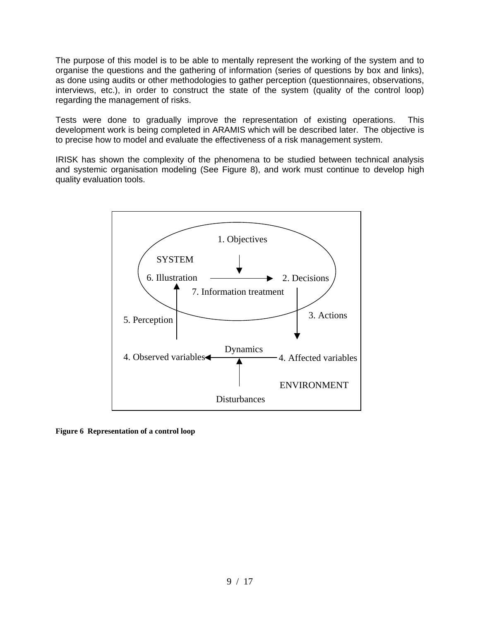The purpose of this model is to be able to mentally represent the working of the system and to organise the questions and the gathering of information (series of questions by box and links), as done using audits or other methodologies to gather perception (questionnaires, observations, interviews, etc.), in order to construct the state of the system (quality of the control loop) regarding the management of risks.

Tests were done to gradually improve the representation of existing operations. This development work is being completed in ARAMIS which will be described later. The objective is to precise how to model and evaluate the effectiveness of a risk management system.

IRISK has shown the complexity of the phenomena to be studied between technical analysis and systemic organisation modeling (See Figure 8), and work must continue to develop high quality evaluation tools.



**Figure 6 Representation of a control loop**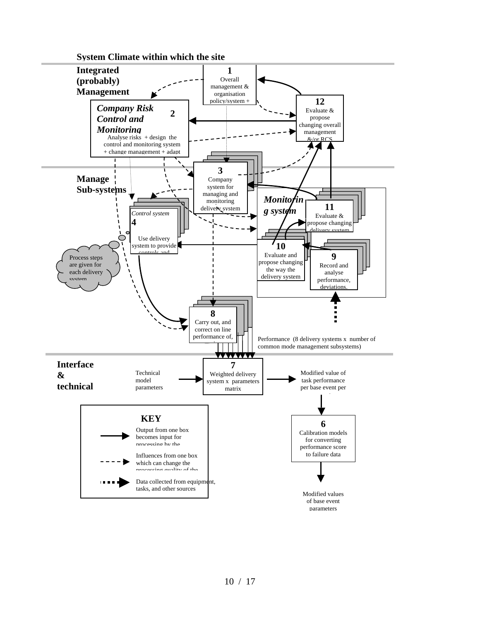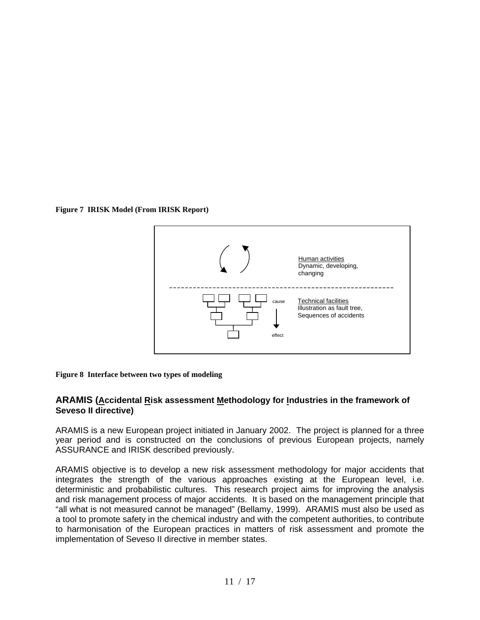**Figure 7 IRISK Model (From IRISK Report)**



**Figure 8 Interface between two types of modeling**

### **ARAMIS (Accidental Risk assessment Methodology for Industries in the framework of Seveso II directive)**

ARAMIS is a new European project initiated in January 2002. The project is planned for a three year period and is constructed on the conclusions of previous European projects, namely ASSURANCE and IRISK described previously.

ARAMIS objective is to develop a new risk assessment methodology for major accidents that integrates the strength of the various approaches existing at the European level, i.e. deterministic and probabilistic cultures. This research project aims for improving the analysis and risk management process of major accidents. It is based on the management principle that "all what is not measured cannot be managed" (Bellamy, 1999). ARAMIS must also be used as a tool to promote safety in the chemical industry and with the competent authorities, to contribute to harmonisation of the European practices in matters of risk assessment and promote the implementation of Seveso II directive in member states.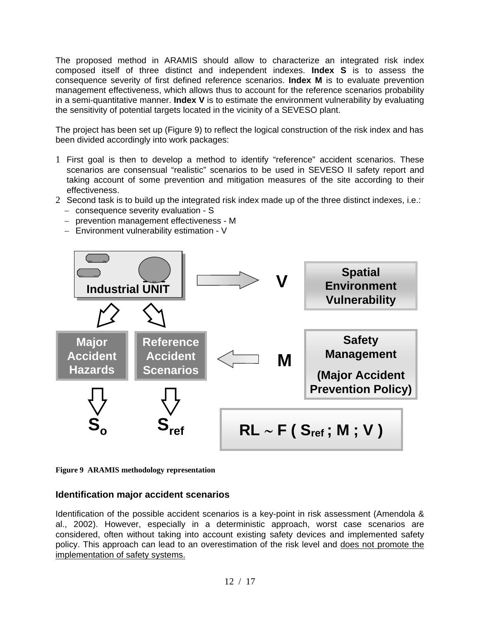The proposed method in ARAMIS should allow to characterize an integrated risk index composed itself of three distinct and independent indexes. **Index S** is to assess the consequence severity of first defined reference scenarios. **Index M** is to evaluate prevention management effectiveness, which allows thus to account for the reference scenarios probability in a semi-quantitative manner. **Index V** is to estimate the environment vulnerability by evaluating the sensitivity of potential targets located in the vicinity of a SEVESO plant.

The project has been set up (Figure 9) to reflect the logical construction of the risk index and has been divided accordingly into work packages:

- 1 First goal is then to develop a method to identify "reference" accident scenarios. These scenarios are consensual "realistic" scenarios to be used in SEVESO II safety report and taking account of some prevention and mitigation measures of the site according to their effectiveness.
- 2 Second task is to build up the integrated risk index made up of the three distinct indexes, i.e.:
	- − consequence severity evaluation S
	- − prevention management effectiveness M
	- − Environment vulnerability estimation V



**Figure 9 ARAMIS methodology representation**

### **Identification major accident scenarios**

Identification of the possible accident scenarios is a key-point in risk assessment (Amendola & al., 2002). However, especially in a deterministic approach, worst case scenarios are considered, often without taking into account existing safety devices and implemented safety policy. This approach can lead to an overestimation of the risk level and does not promote the implementation of safety systems.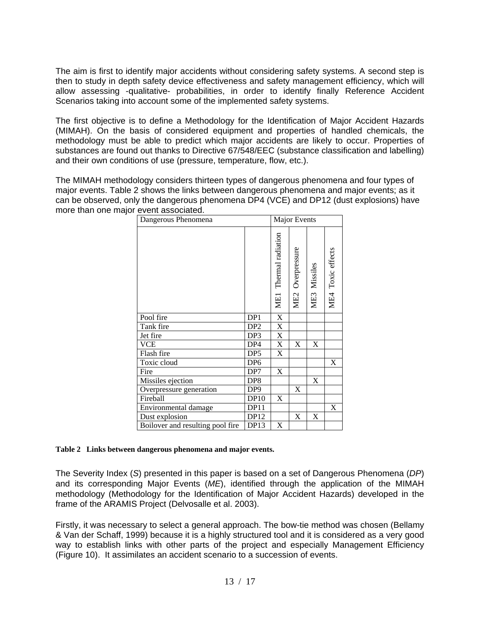The aim is first to identify major accidents without considering safety systems. A second step is then to study in depth safety device effectiveness and safety management efficiency, which will allow assessing -qualitative- probabilities, in order to identify finally Reference Accident Scenarios taking into account some of the implemented safety systems.

The first objective is to define a Methodology for the Identification of Major Accident Hazards (MIMAH). On the basis of considered equipment and properties of handled chemicals, the methodology must be able to predict which major accidents are likely to occur. Properties of substances are found out thanks to Directive 67/548/EEC (substance classification and labelling) and their own conditions of use (pressure, temperature, flow, etc.).

The MIMAH methodology considers thirteen types of dangerous phenomena and four types of major events. Table 2 shows the links between dangerous phenomena and major events; as it can be observed, only the dangerous phenomena DP4 (VCE) and DP12 (dust explosions) have more than one major event associated.

| Dangerous Phenomena              | <b>Major Events</b> |                                 |                  |              |                   |
|----------------------------------|---------------------|---------------------------------|------------------|--------------|-------------------|
|                                  |                     | Thermal radiation<br><b>ME1</b> | ME2 Overpressure | ME3 Missiles | ME4 Toxic effects |
| Pool fire                        | DP1                 | $\mathbf X$                     |                  |              |                   |
| Tank fire                        | DP <sub>2</sub>     | $\mathbf X$                     |                  |              |                   |
| Jet fire                         | DP <sub>3</sub>     | X                               |                  |              |                   |
| <b>VCE</b>                       | DP4                 | X                               | X                | X            |                   |
| Flash fire                       | DP <sub>5</sub>     | X                               |                  |              |                   |
| Toxic cloud                      | DP <sub>6</sub>     |                                 |                  |              | X                 |
| Fire                             | DP7                 | X                               |                  |              |                   |
| Missiles ejection                | DP <sub>8</sub>     |                                 |                  | X            |                   |
| Overpressure generation          | DP <sub>9</sub>     |                                 | X                |              |                   |
| Fireball                         | <b>DP10</b>         | X                               |                  |              |                   |
| Environmental damage             | DP11                |                                 |                  |              | X                 |
| Dust explosion                   | DP12                |                                 | X                | X            |                   |
| Boilover and resulting pool fire | DP13                | X                               |                  |              |                   |

#### **Table 2 Links between dangerous phenomena and major events.**

The Severity Index (*S*) presented in this paper is based on a set of Dangerous Phenomena (*DP*) and its corresponding Major Events (*ME*), identified through the application of the MIMAH methodology (Methodology for the Identification of Major Accident Hazards) developed in the frame of the ARAMIS Project (Delvosalle et al. 2003).

Firstly, it was necessary to select a general approach. The bow-tie method was chosen (Bellamy & Van der Schaff, 1999) because it is a highly structured tool and it is considered as a very good way to establish links with other parts of the project and especially Management Efficiency (Figure 10). It assimilates an accident scenario to a succession of events.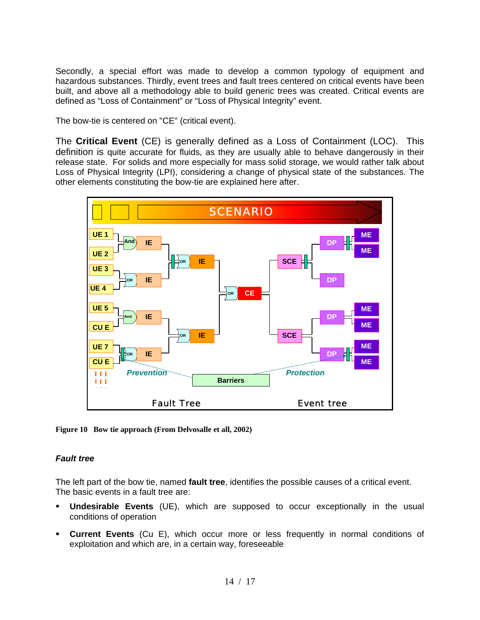Secondly, a special effort was made to develop a common typology of equipment and hazardous substances. Thirdly, event trees and fault trees centered on critical events have been built, and above all a methodology able to build generic trees was created. Critical events are defined as "Loss of Containment" or "Loss of Physical Integrity" event.

The bow-tie is centered on "CE" (critical event).

The **Critical Event** (CE) is generally defined as a Loss of Containment (LOC). This definition is quite accurate for fluids, as they are usually able to behave dangerously in their release state. For solids and more especially for mass solid storage, we would rather talk about Loss of Physical Integrity (LPI), considering a change of physical state of the substances. The other elements constituting the bow-tie are explained here after.



**Figure 10 Bow tie approach (From Delvosalle et all, 2002)**

### *Fault tree*

The left part of the bow tie, named **fault tree**, identifies the possible causes of a critical event. The basic events in a fault tree are:

- **Undesirable Events** (UE), which are supposed to occur exceptionally in the usual conditions of operation
- **Current Events** (Cu E), which occur more or less frequently in normal conditions of exploitation and which are, in a certain way, foreseeable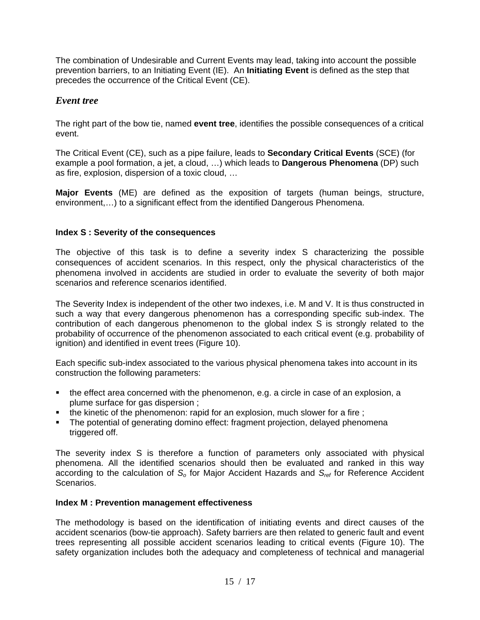The combination of Undesirable and Current Events may lead, taking into account the possible prevention barriers, to an Initiating Event (IE). An **Initiating Event** is defined as the step that precedes the occurrence of the Critical Event (CE).

### *Event tree*

The right part of the bow tie, named **event tree**, identifies the possible consequences of a critical event.

The Critical Event (CE), such as a pipe failure, leads to **Secondary Critical Events** (SCE) (for example a pool formation, a jet, a cloud, …) which leads to **Dangerous Phenomena** (DP) such as fire, explosion, dispersion of a toxic cloud, …

**Major Events** (ME) are defined as the exposition of targets (human beings, structure, environment,…) to a significant effect from the identified Dangerous Phenomena.

### **Index S : Severity of the consequences**

The objective of this task is to define a severity index S characterizing the possible consequences of accident scenarios. In this respect, only the physical characteristics of the phenomena involved in accidents are studied in order to evaluate the severity of both major scenarios and reference scenarios identified.

The Severity Index is independent of the other two indexes, i.e. M and V. It is thus constructed in such a way that every dangerous phenomenon has a corresponding specific sub-index. The contribution of each dangerous phenomenon to the global index S is strongly related to the probability of occurrence of the phenomenon associated to each critical event (e.g. probability of ignition) and identified in event trees (Figure 10).

Each specific sub-index associated to the various physical phenomena takes into account in its construction the following parameters:

- the effect area concerned with the phenomenon, e.g. a circle in case of an explosion, a plume surface for gas dispersion ;
- the kinetic of the phenomenon: rapid for an explosion, much slower for a fire ;
- The potential of generating domino effect: fragment projection, delayed phenomena triggered off.

The severity index S is therefore a function of parameters only associated with physical phenomena. All the identified scenarios should then be evaluated and ranked in this way according to the calculation of *So* for Major Accident Hazards and *Sref* for Reference Accident Scenarios.

### **Index M : Prevention management effectiveness**

The methodology is based on the identification of initiating events and direct causes of the accident scenarios (bow-tie approach). Safety barriers are then related to generic fault and event trees representing all possible accident scenarios leading to critical events (Figure 10). The safety organization includes both the adequacy and completeness of technical and managerial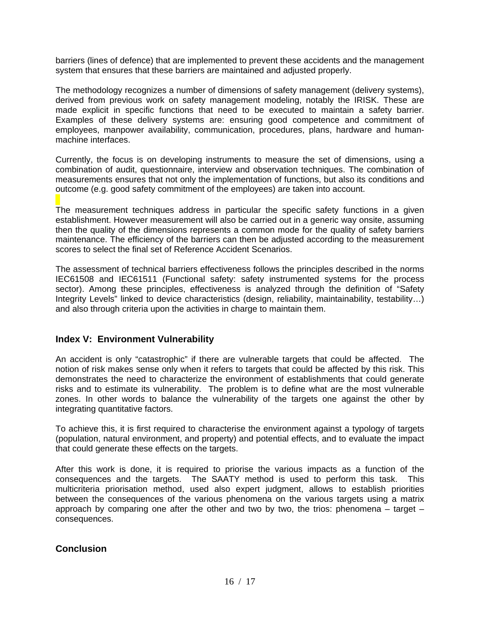barriers (lines of defence) that are implemented to prevent these accidents and the management system that ensures that these barriers are maintained and adjusted properly.

The methodology recognizes a number of dimensions of safety management (delivery systems), derived from previous work on safety management modeling, notably the IRISK. These are made explicit in specific functions that need to be executed to maintain a safety barrier. Examples of these delivery systems are: ensuring good competence and commitment of employees, manpower availability, communication, procedures, plans, hardware and humanmachine interfaces.

Currently, the focus is on developing instruments to measure the set of dimensions, using a combination of audit, questionnaire, interview and observation techniques. The combination of measurements ensures that not only the implementation of functions, but also its conditions and outcome (e.g. good safety commitment of the employees) are taken into account.

The measurement techniques address in particular the specific safety functions in a given establishment. However measurement will also be carried out in a generic way onsite, assuming then the quality of the dimensions represents a common mode for the quality of safety barriers maintenance. The efficiency of the barriers can then be adjusted according to the measurement scores to select the final set of Reference Accident Scenarios.

The assessment of technical barriers effectiveness follows the principles described in the norms IEC61508 and IEC61511 (Functional safety: safety instrumented systems for the process sector). Among these principles, effectiveness is analyzed through the definition of "Safety Integrity Levels" linked to device characteristics (design, reliability, maintainability, testability…) and also through criteria upon the activities in charge to maintain them.

### **Index V: Environment Vulnerability**

An accident is only "catastrophic" if there are vulnerable targets that could be affected. The notion of risk makes sense only when it refers to targets that could be affected by this risk. This demonstrates the need to characterize the environment of establishments that could generate risks and to estimate its vulnerability. The problem is to define what are the most vulnerable zones. In other words to balance the vulnerability of the targets one against the other by integrating quantitative factors.

To achieve this, it is first required to characterise the environment against a typology of targets (population, natural environment, and property) and potential effects, and to evaluate the impact that could generate these effects on the targets.

After this work is done, it is required to priorise the various impacts as a function of the consequences and the targets. The SAATY method is used to perform this task. This multicriteria priorisation method, used also expert judgment, allows to establish priorities between the consequences of the various phenomena on the various targets using a matrix approach by comparing one after the other and two by two, the trios: phenomena  $-$  target  $$ consequences.

### **Conclusion**